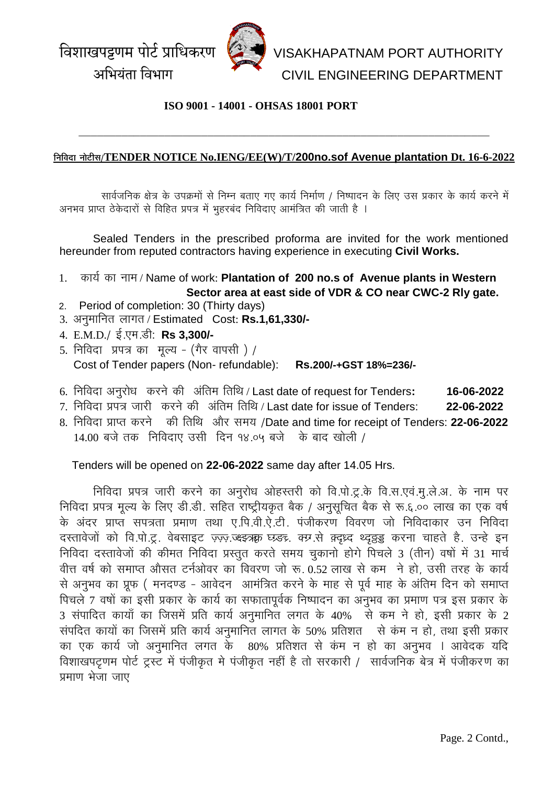

### **ISO 9001 - 14001 - OHSAS 18001 PORT**

#### **ÊxÉÊ´ÉnùÉ xÉÉä]õÒºÉ/TENDER NOTICE No.IENG/EE(W)/T/200no.sof Avenue plantation Dt. 16-6-2022**

**\_\_\_\_\_\_\_\_\_\_\_\_\_\_\_\_\_\_\_\_\_\_\_\_\_\_\_\_\_\_\_\_\_\_\_\_\_\_\_\_\_\_\_\_\_\_\_\_\_\_\_\_\_\_\_\_\_\_\_\_\_\_\_\_\_\_\_**

सार्वजनिक क्षेत्र के उपक्रमों से निम्न बताए गए कार्य निर्माण / निष्पादन के लिए उस प्रकार के कार्य करने में अनभव प्राप्त ठेकेदारों से विहित प्रपत्र में भुहरबंद निविदाए आमंत्रित की जाती है ।

Sealed Tenders in the prescribed proforma are invited for the work mentioned hereunder from reputed contractors having experience in executing **Civil Works.** 

- 1. कार्य का नाम / Name of work: Plantation of 200 no.s of Avenue plants in Western  **Sector area at east side of VDR & CO near CWC-2 Rly gate.**
- 2.Period of completion: 30 (Thirty days)
- 3. अनुमानित लागत / Estimated Cost: Rs.1,61,330/-
- 4. E.M.D./ ई.एम.डी: **Rs 3.300/-**
- 5. निविदा प्रपत्र का मूल्य (गैर वापसी) / Cost of Tender papers (Non- refundable): **Rs.200/-+GST 18%=236/-**
- 6. निविदा अनुरोध करने की अंतिम तिथि / Last date of request for Tenders: 16-06-2022
- 7. निविदा प्रपत्र जारी करने की अंतिम तिथि / Last date for issue of Tenders: **22-06-2022**
- 8. निविदा प्राप्त करने की तिथि और समय /Date and time for receipt of Tenders: 22-06-2022  $14.00$  बजे तक निविदाए उसी दिन १४.०५ बजे के बाद खोली /

#### Tenders will be opened on **22-06-2022** same day after 14.05 Hrs.

निविदा प्रपत्र जारी करने का अनुरोध ओहस्तरी को वि.पो.टू.के वि.स.एवं.मू.ले.अ. के नाम पर <u>निविदा प्रपत्र मृत्य के लिए डी.डी. सहित राष्ट्रीयकृत बैक / अनुसूचित बैक से रू.६.०० लाख का एक वर्ष</u> के अंदर प्राप्त सपत्रता प्रमाण तथा ए.पि.वी.ऐ.टी. पंजीकरण विवरण जो निविदाकार उन निविदा दस्तावेजों को वि.पो.टू. वेबसाइट ज़्ज़्ज़ ज़्झ्झ्क्क़ घ्र्र्डन्र, क्रम.से क़्दुध्द थ्द्र्झड्ड करना चाहते है. उन्हे इन निविदा दस्तावेजों की कीमत निविदा प्रस्तुत करते समय चुकानो होगे पिचले 3 (तीन) वषों में 31 मार्च ँचीत्त वर्ष को समाप्त औसत टर्नओवर का विवरण जो रू. 0.52 लाख से कम जे हो, उसी तरह के कार्य से अनुभव का प्रूफ ( मनदण्ड - आवेदन) आमंत्रित करने के माह से पूर्व माह के अंतिम दिन को समाप्त <u>घिचले 7 वर्षों का इसी प्रकार के कार्य का सफातापूर्वक निष्पादन का अनुभव का प्रमाण पत्र इस प्रकार के </u> 3 संपादित कायाँ का जिसमें प्रति कार्य अनुमानित लगत के 40% के कम ने हो, इसी प्रकार के 2 संपदित कायों का जिसमें प्रति कार्य अनुमानित लागत के 50% प्रतिशत से कंम न हो, तथा इसी प्रकार का एक कार्य जो अनुमानित लगत के 80% प्रतिशत से कंम न हो का अनुभव । आवेदक यदि विशाखपट्टणम पोर्ट ट्रस्ट में पंजीकृत मे पंजीकृत नहीं है तो सरकारी / सार्वजनिक बेत्र में पंजीकरण का |<br>|<br>अमाण भेजा जाए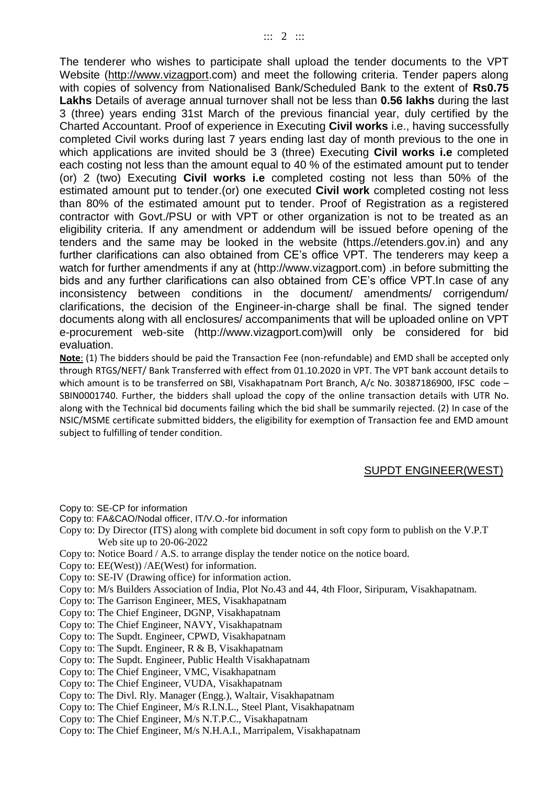The tenderer who wishes to participate shall upload the tender documents to the VPT Website [\(http://www.vizagport.](http://www.vizagport/)com) and meet the following criteria. Tender papers along with copies of solvency from Nationalised Bank/Scheduled Bank to the extent of **Rs0.75 Lakhs** Details of average annual turnover shall not be less than **0.56 lakhs** during the last 3 (three) years ending 31st March of the previous financial year, duly certified by the Charted Accountant. Proof of experience in Executing **Civil works** i.e., having successfully completed Civil works during last 7 years ending last day of month previous to the one in which applications are invited should be 3 (three) Executing **Civil works i.e** completed each costing not less than the amount equal to 40 % of the estimated amount put to tender (or) 2 (two) Executing **Civil works i.e** completed costing not less than 50% of the estimated amount put to tender.(or) one executed **Civil work** completed costing not less than 80% of the estimated amount put to tender. Proof of Registration as a registered contractor with Govt./PSU or with VPT or other organization is not to be treated as an eligibility criteria. If any amendment or addendum will be issued before opening of the tenders and the same may be looked in the website (https.//etenders.gov.in) and any further clarifications can also obtained from CE's office VPT. The tenderers may keep a watch for further amendments if any at (http://www.vizagport.com) .in before submitting the bids and any further clarifications can also obtained from CE's office VPT.In case of any inconsistency between conditions in the document/ amendments/ corrigendum/ clarifications, the decision of the Engineer-in-charge shall be final. The signed tender documents along with all enclosures/ accompaniments that will be uploaded online on VPT e-procurement web-site (http://www.vizagport.com)will only be considered for bid evaluation.

**Note**: (1) The bidders should be paid the Transaction Fee (non-refundable) and EMD shall be accepted only through RTGS/NEFT/ Bank Transferred with effect from 01.10.2020 in VPT. The VPT bank account details to which amount is to be transferred on SBI, Visakhapatnam Port Branch, A/c No. 30387186900, IFSC code – SBIN0001740. Further, the bidders shall upload the copy of the online transaction details with UTR No. along with the Technical bid documents failing which the bid shall be summarily rejected. (2) In case of the NSIC/MSME certificate submitted bidders, the eligibility for exemption of Transaction fee and EMD amount subject to fulfilling of tender condition.

#### SUPDT ENGINEER(WEST)

- Copy to: SE-CP for information
- Copy to: FA&CAO/Nodal officer, IT/V.O.-for information
- Copy to: Dy Director (ITS) along with complete bid document in soft copy form to publish on the V.P.T Web site up to 20-06-2022
- Copy to: Notice Board / A.S. to arrange display the tender notice on the notice board.
- Copy to: EE(West)) /AE(West) for information.
- Copy to: SE-IV (Drawing office) for information action.
- Copy to: M/s Builders Association of India, Plot No.43 and 44, 4th Floor, Siripuram, Visakhapatnam.
- Copy to: The Garrison Engineer, MES, Visakhapatnam
- Copy to: The Chief Engineer, DGNP, Visakhapatnam
- Copy to: The Chief Engineer, NAVY, Visakhapatnam
- Copy to: The Supdt. Engineer, CPWD, Visakhapatnam
- Copy to: The Supdt. Engineer, R & B, Visakhapatnam
- Copy to: The Supdt. Engineer, Public Health Visakhapatnam
- Copy to: The Chief Engineer, VMC, Visakhapatnam
- Copy to: The Chief Engineer, VUDA, Visakhapatnam
- Copy to: The Divl. Rly. Manager (Engg.), Waltair, Visakhapatnam
- Copy to: The Chief Engineer, M/s R.I.N.L., Steel Plant, Visakhapatnam
- Copy to: The Chief Engineer, M/s N.T.P.C., Visakhapatnam
- Copy to: The Chief Engineer, M/s N.H.A.I., Marripalem, Visakhapatnam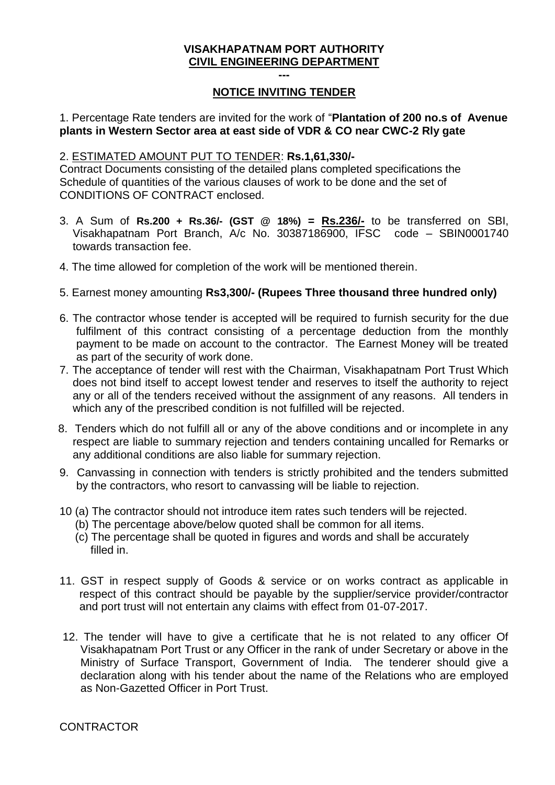## **--- NOTICE INVITING TENDER**

## 1. Percentage Rate tenders are invited for the work of "**Plantation of 200 no.s of Avenue plants in Western Sector area at east side of VDR & CO near CWC-2 Rly gate**

#### 2. ESTIMATED AMOUNT PUT TO TENDER: **Rs.1,61,330/-**

Contract Documents consisting of the detailed plans completed specifications the Schedule of quantities of the various clauses of work to be done and the set of CONDITIONS OF CONTRACT enclosed.

- 3. A Sum of **Rs.200 + Rs.36/- (GST @ 18%) = Rs.236/-** to be transferred on SBI, Visakhapatnam Port Branch, A/c No. 30387186900, IFSC code – SBIN0001740 towards transaction fee.
- 4. The time allowed for completion of the work will be mentioned therein.
- 5. Earnest money amounting **Rs3,300/- (Rupees Three thousand three hundred only)**
- 6. The contractor whose tender is accepted will be required to furnish security for the due fulfilment of this contract consisting of a percentage deduction from the monthly payment to be made on account to the contractor. The Earnest Money will be treated as part of the security of work done.
- 7. The acceptance of tender will rest with the Chairman, Visakhapatnam Port Trust Which does not bind itself to accept lowest tender and reserves to itself the authority to reject any or all of the tenders received without the assignment of any reasons. All tenders in which any of the prescribed condition is not fulfilled will be rejected.
- 8. Tenders which do not fulfill all or any of the above conditions and or incomplete in any respect are liable to summary rejection and tenders containing uncalled for Remarks or any additional conditions are also liable for summary rejection.
- 9. Canvassing in connection with tenders is strictly prohibited and the tenders submitted by the contractors, who resort to canvassing will be liable to rejection.
- 10 (a) The contractor should not introduce item rates such tenders will be rejected.
	- (b) The percentage above/below quoted shall be common for all items.
	- (c) The percentage shall be quoted in figures and words and shall be accurately filled in.
- 11. GST in respect supply of Goods & service or on works contract as applicable in respect of this contract should be payable by the supplier/service provider/contractor and port trust will not entertain any claims with effect from 01-07-2017.
- 12. The tender will have to give a certificate that he is not related to any officer Of Visakhapatnam Port Trust or any Officer in the rank of under Secretary or above in the Ministry of Surface Transport, Government of India. The tenderer should give a declaration along with his tender about the name of the Relations who are employed as Non-Gazetted Officer in Port Trust.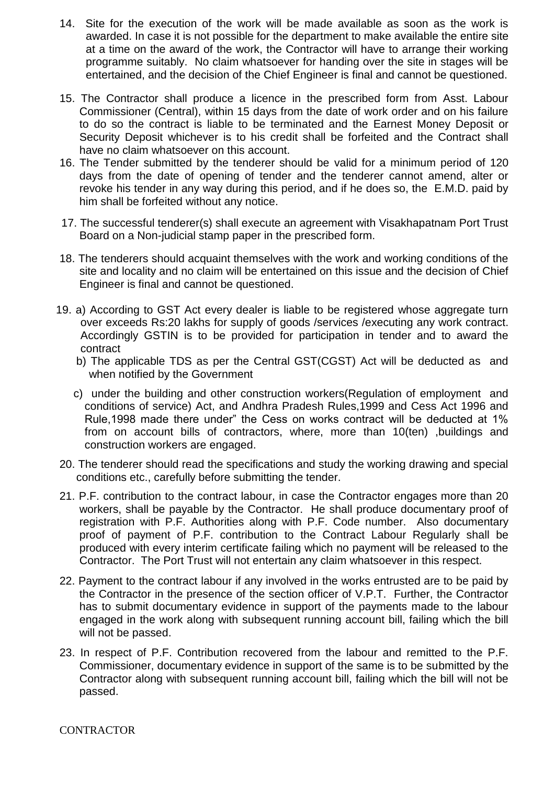- 14. Site for the execution of the work will be made available as soon as the work is awarded. In case it is not possible for the department to make available the entire site at a time on the award of the work, the Contractor will have to arrange their working programme suitably. No claim whatsoever for handing over the site in stages will be entertained, and the decision of the Chief Engineer is final and cannot be questioned.
- 15. The Contractor shall produce a licence in the prescribed form from Asst. Labour Commissioner (Central), within 15 days from the date of work order and on his failure to do so the contract is liable to be terminated and the Earnest Money Deposit or Security Deposit whichever is to his credit shall be forfeited and the Contract shall have no claim whatsoever on this account.
- 16. The Tender submitted by the tenderer should be valid for a minimum period of 120 days from the date of opening of tender and the tenderer cannot amend, alter or revoke his tender in any way during this period, and if he does so, the E.M.D. paid by him shall be forfeited without any notice.
- 17. The successful tenderer(s) shall execute an agreement with Visakhapatnam Port Trust Board on a Non-judicial stamp paper in the prescribed form.
- 18. The tenderers should acquaint themselves with the work and working conditions of the site and locality and no claim will be entertained on this issue and the decision of Chief Engineer is final and cannot be questioned.
- 19. a) According to GST Act every dealer is liable to be registered whose aggregate turn over exceeds Rs:20 lakhs for supply of goods /services /executing any work contract. Accordingly GSTIN is to be provided for participation in tender and to award the contract
	- b) The applicable TDS as per the Central GST(CGST) Act will be deducted as and when notified by the Government
	- c) under the building and other construction workers(Regulation of employment and conditions of service) Act, and Andhra Pradesh Rules,1999 and Cess Act 1996 and Rule,1998 made there under" the Cess on works contract will be deducted at 1% from on account bills of contractors, where, more than 10(ten) ,buildings and construction workers are engaged.
- 20. The tenderer should read the specifications and study the working drawing and special conditions etc., carefully before submitting the tender.
- 21. P.F. contribution to the contract labour, in case the Contractor engages more than 20 workers, shall be payable by the Contractor. He shall produce documentary proof of registration with P.F. Authorities along with P.F. Code number. Also documentary proof of payment of P.F. contribution to the Contract Labour Regularly shall be produced with every interim certificate failing which no payment will be released to the Contractor. The Port Trust will not entertain any claim whatsoever in this respect.
- 22. Payment to the contract labour if any involved in the works entrusted are to be paid by the Contractor in the presence of the section officer of V.P.T. Further, the Contractor has to submit documentary evidence in support of the payments made to the labour engaged in the work along with subsequent running account bill, failing which the bill will not be passed.
- 23. In respect of P.F. Contribution recovered from the labour and remitted to the P.F. Commissioner, documentary evidence in support of the same is to be submitted by the Contractor along with subsequent running account bill, failing which the bill will not be passed.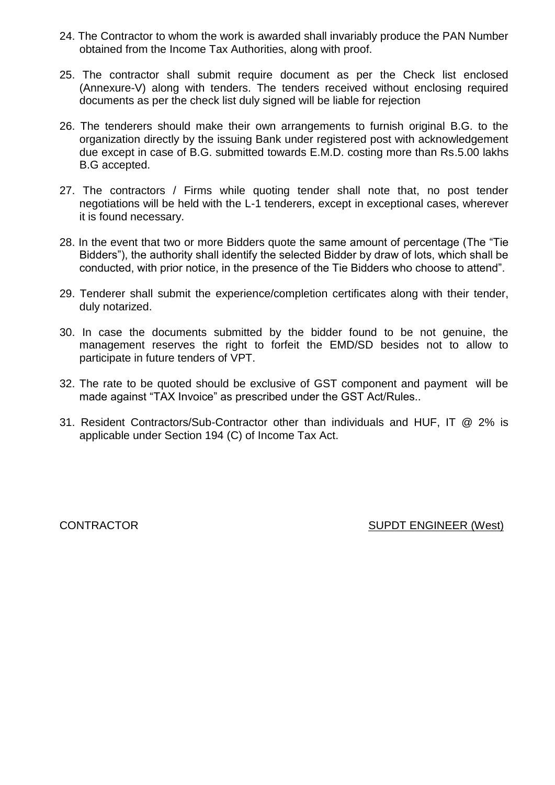- 24. The Contractor to whom the work is awarded shall invariably produce the PAN Number obtained from the Income Tax Authorities, along with proof.
- 25. The contractor shall submit require document as per the Check list enclosed (Annexure-V) along with tenders. The tenders received without enclosing required documents as per the check list duly signed will be liable for rejection
- 26. The tenderers should make their own arrangements to furnish original B.G. to the organization directly by the issuing Bank under registered post with acknowledgement due except in case of B.G. submitted towards E.M.D. costing more than Rs.5.00 lakhs B.G accepted.
- 27. The contractors / Firms while quoting tender shall note that, no post tender negotiations will be held with the L-1 tenderers, except in exceptional cases, wherever it is found necessary.
- 28. In the event that two or more Bidders quote the same amount of percentage (The "Tie Bidders"), the authority shall identify the selected Bidder by draw of lots, which shall be conducted, with prior notice, in the presence of the Tie Bidders who choose to attend".
- 29. Tenderer shall submit the experience/completion certificates along with their tender, duly notarized.
- 30. In case the documents submitted by the bidder found to be not genuine, the management reserves the right to forfeit the EMD/SD besides not to allow to participate in future tenders of VPT.
- 32. The rate to be quoted should be exclusive of GST component and payment will be made against "TAX Invoice" as prescribed under the GST Act/Rules..
- 31. Resident Contractors/Sub-Contractor other than individuals and HUF, IT @ 2% is applicable under Section 194 (C) of Income Tax Act.

CONTRACTOR SUPDT ENGINEER (West)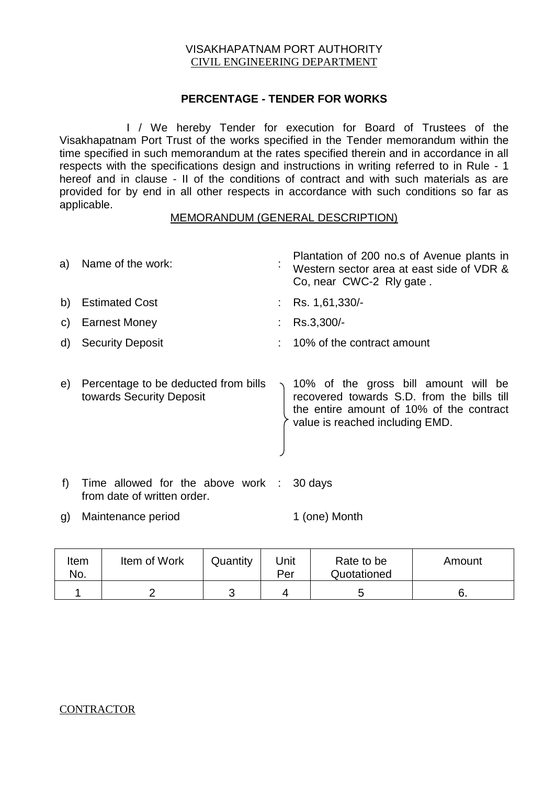## **PERCENTAGE - TENDER FOR WORKS**

I / We hereby Tender for execution for Board of Trustees of the Visakhapatnam Port Trust of the works specified in the Tender memorandum within the time specified in such memorandum at the rates specified therein and in accordance in all respects with the specifications design and instructions in writing referred to in Rule - 1 hereof and in clause - II of the conditions of contract and with such materials as are provided for by end in all other respects in accordance with such conditions so far as applicable.

#### MEMORANDUM (GENERAL DESCRIPTION)

| a)           | Name of the work:       | $\blacksquare$ | Plantation of 200 no.s of Avenue plants in<br>Western sector area at east side of VDR &<br>Co, near CWC-2 Rly gate. |
|--------------|-------------------------|----------------|---------------------------------------------------------------------------------------------------------------------|
| b)           | <b>Estimated Cost</b>   |                | Rs. 1,61,330/-                                                                                                      |
| $\mathsf{C}$ | <b>Earnest Money</b>    |                | Rs.3,300/-                                                                                                          |
| d)           | <b>Security Deposit</b> |                | 10% of the contract amount                                                                                          |
|              |                         |                |                                                                                                                     |
|              |                         |                |                                                                                                                     |

- e) Percentage to be deducted from bills towards Security Deposit 10% of the gross bill amount will be recovered towards S.D. from the bills till the entire amount of 10% of the contract value is reached including EMD.
- f) Time allowed for the above work : 30 days from date of written order.
- g) Maintenance period 1 (one) Month

| Item<br>No. | Item of Work | Quantity | Unit<br>Per | Rate to be<br>Quotationed | Amount |
|-------------|--------------|----------|-------------|---------------------------|--------|
|             |              |          |             |                           | Ο.     |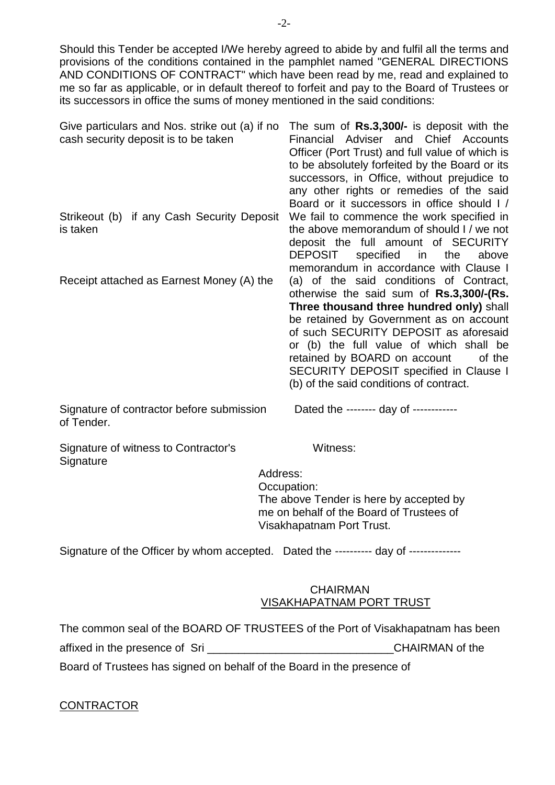Should this Tender be accepted I/We hereby agreed to abide by and fulfil all the terms and provisions of the conditions contained in the pamphlet named "GENERAL DIRECTIONS AND CONDITIONS OF CONTRACT" which have been read by me, read and explained to me so far as applicable, or in default thereof to forfeit and pay to the Board of Trustees or its successors in office the sums of money mentioned in the said conditions:

| Give particulars and Nos. strike out (a) if no<br>cash security deposit is to be taken | The sum of Rs.3,300/- is deposit with the<br>Financial Adviser and Chief Accounts<br>Officer (Port Trust) and full value of which is<br>to be absolutely forfeited by the Board or its<br>successors, in Office, without prejudice to<br>any other rights or remedies of the said<br>Board or it successors in office should I /                                                              |
|----------------------------------------------------------------------------------------|-----------------------------------------------------------------------------------------------------------------------------------------------------------------------------------------------------------------------------------------------------------------------------------------------------------------------------------------------------------------------------------------------|
| Strikeout (b) if any Cash Security Deposit<br>is taken                                 | We fail to commence the work specified in<br>the above memorandum of should I / we not<br>deposit the full amount of SECURITY<br>DEPOSIT<br>specified in the<br>above<br>memorandum in accordance with Clause I                                                                                                                                                                               |
| Receipt attached as Earnest Money (A) the                                              | (a) of the said conditions of Contract,<br>otherwise the said sum of Rs.3,300/-(Rs.<br>Three thousand three hundred only) shall<br>be retained by Government as on account<br>of such SECURITY DEPOSIT as aforesaid<br>or (b) the full value of which shall be<br>retained by BOARD on account<br>of the<br>SECURITY DEPOSIT specified in Clause I<br>(b) of the said conditions of contract. |
| Signature of contractor before submission<br>of Tender.                                | Dated the -------- day of ------------                                                                                                                                                                                                                                                                                                                                                        |

Signature of witness to Contractor's Witness: **Signature** 

 Address: Occupation: The above Tender is here by accepted by me on behalf of the Board of Trustees of Visakhapatnam Port Trust.

Signature of the Officer by whom accepted. Dated the ---------- day of --------------

#### CHAIRMAN VISAKHAPATNAM PORT TRUST

The common seal of the BOARD OF TRUSTEES of the Port of Visakhapatnam has been affixed in the presence of Sri **Example 20** and the CHAIRMAN of the

Board of Trustees has signed on behalf of the Board in the presence of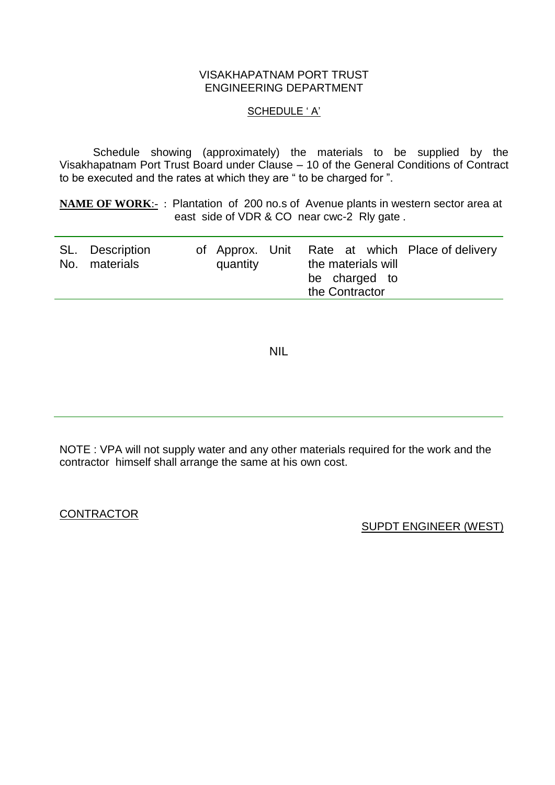#### VISAKHAPATNAM PORT TRUST ENGINEERING DEPARTMENT

#### SCHEDULE ' A'

Schedule showing (approximately) the materials to be supplied by the Visakhapatnam Port Trust Board under Clause – 10 of the General Conditions of Contract to be executed and the rates at which they are " to be charged for ".

**NAME OF WORK:-** : Plantation of 200 no.s of Avenue plants in western sector area at east side of VDR & CO near cwc-2 Rly gate.

| SL. Description | of Approx. Unit |                |                    | Rate at which Place of delivery |
|-----------------|-----------------|----------------|--------------------|---------------------------------|
| No. materials   | quantity        |                | the materials will |                                 |
|                 |                 |                | be charged to      |                                 |
|                 |                 | the Contractor |                    |                                 |

NIL

NOTE : VPA will not supply water and any other materials required for the work and the contractor himself shall arrange the same at his own cost.

**CONTRACTOR** 

SUPDT ENGINEER (WEST)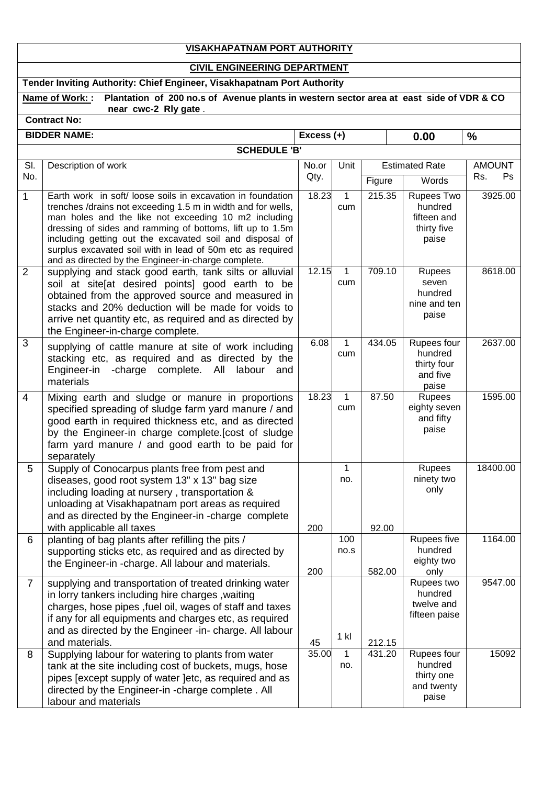## **VISAKHAPATNAM PORT AUTHORITY**

# **CIVIL ENGINEERING DEPARTMENT**

# **Tender Inviting Authority: Chief Engineer, Visakhapatnam Port Authority**

|                | Name of Work: :<br>Plantation of 200 no.s of Avenue plants in western sector area at east side of VDR & CO<br>near cwc-2 Rly gate.                                                                                                                                                                                                                                                                                               |            |             |        |                                                              |               |
|----------------|----------------------------------------------------------------------------------------------------------------------------------------------------------------------------------------------------------------------------------------------------------------------------------------------------------------------------------------------------------------------------------------------------------------------------------|------------|-------------|--------|--------------------------------------------------------------|---------------|
|                | <b>Contract No:</b>                                                                                                                                                                                                                                                                                                                                                                                                              |            |             |        |                                                              |               |
|                | <b>BIDDER NAME:</b>                                                                                                                                                                                                                                                                                                                                                                                                              | Excess (+) |             |        | 0.00                                                         | $\%$          |
|                | <b>SCHEDULE 'B'</b>                                                                                                                                                                                                                                                                                                                                                                                                              |            |             |        |                                                              |               |
| SI.            | Description of work                                                                                                                                                                                                                                                                                                                                                                                                              | No.or      | Unit        |        | <b>Estimated Rate</b>                                        | <b>AMOUNT</b> |
| No.            |                                                                                                                                                                                                                                                                                                                                                                                                                                  | Qty.       |             | Figure | Words                                                        | Rs.<br>Ps     |
| $\mathbf{1}$   | Earth work in soft/loose soils in excavation in foundation<br>trenches /drains not exceeding 1.5 m in width and for wells,<br>man holes and the like not exceeding 10 m2 including<br>dressing of sides and ramming of bottoms, lift up to 1.5m<br>including getting out the excavated soil and disposal of<br>surplus excavated soil with in lead of 50m etc as required<br>and as directed by the Engineer-in-charge complete. | 18.23      | 1<br>cum    | 215.35 | Rupees Two<br>hundred<br>fifteen and<br>thirty five<br>paise | 3925.00       |
| $\overline{2}$ | supplying and stack good earth, tank silts or alluvial<br>soil at site at desired points] good earth to be<br>obtained from the approved source and measured in<br>stacks and 20% deduction will be made for voids to<br>arrive net quantity etc, as required and as directed by<br>the Engineer-in-charge complete.                                                                                                             | 12.15      | 1<br>cum    | 709.10 | Rupees<br>seven<br>hundred<br>nine and ten<br>paise          | 8618.00       |
| 3              | supplying of cattle manure at site of work including<br>stacking etc, as required and as directed by the<br>Engineer-in - charge complete. All<br>labour<br>and<br>materials                                                                                                                                                                                                                                                     | 6.08       | 1<br>cum    | 434.05 | Rupees four<br>hundred<br>thirty four<br>and five<br>paise   | 2637.00       |
| 4              | Mixing earth and sludge or manure in proportions<br>specified spreading of sludge farm yard manure / and<br>good earth in required thickness etc, and as directed<br>by the Engineer-in charge complete.[cost of sludge<br>farm yard manure / and good earth to be paid for<br>separately                                                                                                                                        | 18.23      | 1<br>cum    | 87.50  | Rupees<br>eighty seven<br>and fifty<br>paise                 | 1595.00       |
| 5              | Supply of Conocarpus plants free from pest and<br>diseases, good root system 13" x 13" bag size<br>including loading at nursery, transportation &<br>unloading at Visakhapatnam port areas as required<br>and as directed by the Engineer-in -charge complete<br>with applicable all taxes                                                                                                                                       | 200        | 1<br>no.    | 92.00  | Rupees<br>ninety two<br>only                                 | 18400.00      |
| 6              | planting of bag plants after refilling the pits /<br>supporting sticks etc, as required and as directed by<br>the Engineer-in -charge. All labour and materials.                                                                                                                                                                                                                                                                 | 200        | 100<br>no.s | 582.00 | Rupees five<br>hundred<br>eighty two<br>only                 | 1164.00       |
| $\overline{7}$ | supplying and transportation of treated drinking water<br>in lorry tankers including hire charges, waiting<br>charges, hose pipes , fuel oil, wages of staff and taxes<br>if any for all equipments and charges etc, as required<br>and as directed by the Engineer -in- charge. All labour<br>and materials.                                                                                                                    | 45         | 1 kl        | 212.15 | Rupees two<br>hundred<br>twelve and<br>fifteen paise         | 9547.00       |
| 8              | Supplying labour for watering to plants from water<br>tank at the site including cost of buckets, mugs, hose<br>pipes [except supply of water ]etc, as required and as<br>directed by the Engineer-in -charge complete. All<br>labour and materials                                                                                                                                                                              | 35.00      | 1<br>no.    | 431.20 | Rupees four<br>hundred<br>thirty one<br>and twenty<br>paise  | 15092         |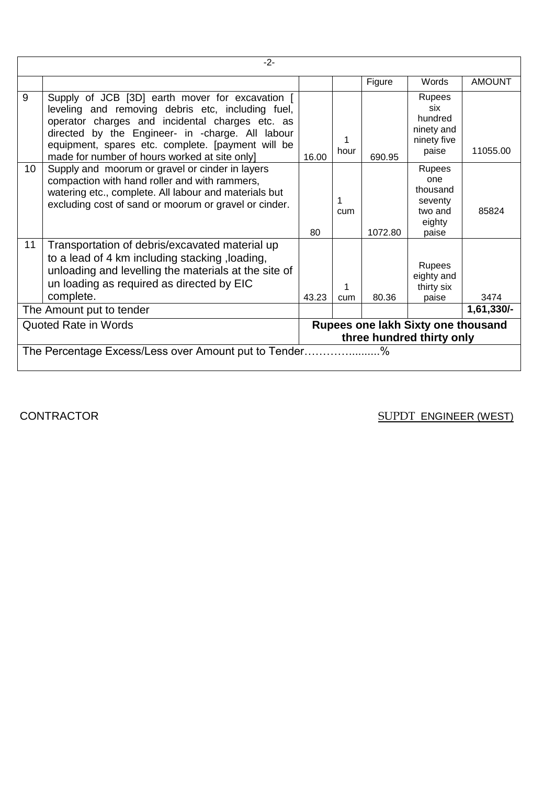|                 | $-2-$                                                                                                                                                                                                                                                                                                             |                                                                 |          |         |                                                                           |               |  |  |
|-----------------|-------------------------------------------------------------------------------------------------------------------------------------------------------------------------------------------------------------------------------------------------------------------------------------------------------------------|-----------------------------------------------------------------|----------|---------|---------------------------------------------------------------------------|---------------|--|--|
|                 |                                                                                                                                                                                                                                                                                                                   |                                                                 |          | Figure  | Words                                                                     | <b>AMOUNT</b> |  |  |
| 9               | Supply of JCB [3D] earth mover for excavation [<br>leveling and removing debris etc, including fuel,<br>operator charges and incidental charges etc. as<br>directed by the Engineer- in -charge. All labour<br>equipment, spares etc. complete. [payment will be<br>made for number of hours worked at site only] | 16.00                                                           | hour     | 690.95  | Rupees<br>six<br>hundred<br>ninety and<br>ninety five<br>paise            | 11055.00      |  |  |
| 10 <sup>1</sup> | Supply and moorum or gravel or cinder in layers<br>compaction with hand roller and with rammers,<br>watering etc., complete. All labour and materials but<br>excluding cost of sand or moorum or gravel or cinder.                                                                                                | 80                                                              | 1<br>cum | 1072.80 | <b>Rupees</b><br>one<br>thousand<br>seventy<br>two and<br>eighty<br>paise | 85824         |  |  |
| 11              | Transportation of debris/excavated material up<br>to a lead of 4 km including stacking, loading,<br>unloading and levelling the materials at the site of<br>un loading as required as directed by EIC<br>complete.                                                                                                | 43.23                                                           | cum      | 80.36   | <b>Rupees</b><br>eighty and<br>thirty six<br>paise                        | 3474          |  |  |
|                 | The Amount put to tender                                                                                                                                                                                                                                                                                          |                                                                 |          |         |                                                                           | 1,61,330/-    |  |  |
|                 | <b>Quoted Rate in Words</b>                                                                                                                                                                                                                                                                                       | Rupees one lakh Sixty one thousand<br>three hundred thirty only |          |         |                                                                           |               |  |  |
|                 | The Percentage Excess/Less over Amount put to Tender<br>%                                                                                                                                                                                                                                                         |                                                                 |          |         |                                                                           |               |  |  |

CONTRACTOR SUPPT ENGINEER (WEST)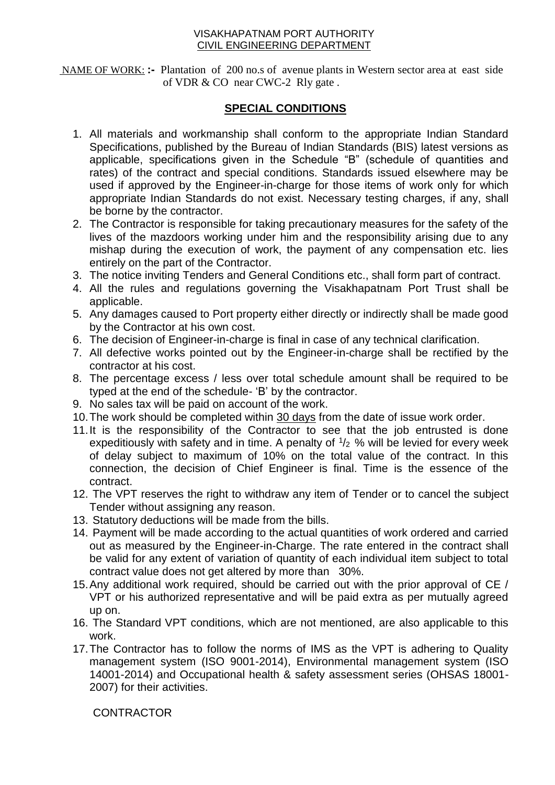NAME OF WORK: **:-** Plantation of 200 no.s of avenue plants in Western sector area at east side of VDR & CO near CWC-2 Rly gate .

## **SPECIAL CONDITIONS**

- 1. All materials and workmanship shall conform to the appropriate Indian Standard Specifications, published by the Bureau of Indian Standards (BIS) latest versions as applicable, specifications given in the Schedule "B" (schedule of quantities and rates) of the contract and special conditions. Standards issued elsewhere may be used if approved by the Engineer-in-charge for those items of work only for which appropriate Indian Standards do not exist. Necessary testing charges, if any, shall be borne by the contractor.
- 2. The Contractor is responsible for taking precautionary measures for the safety of the lives of the mazdoors working under him and the responsibility arising due to any mishap during the execution of work, the payment of any compensation etc. lies entirely on the part of the Contractor.
- 3. The notice inviting Tenders and General Conditions etc., shall form part of contract.
- 4. All the rules and regulations governing the Visakhapatnam Port Trust shall be applicable.
- 5. Any damages caused to Port property either directly or indirectly shall be made good by the Contractor at his own cost.
- 6. The decision of Engineer-in-charge is final in case of any technical clarification.
- 7. All defective works pointed out by the Engineer-in-charge shall be rectified by the contractor at his cost.
- 8. The percentage excess / less over total schedule amount shall be required to be typed at the end of the schedule- 'B' by the contractor.
- 9. No sales tax will be paid on account of the work.
- 10.The work should be completed within 30 days from the date of issue work order.
- 11.It is the responsibility of the Contractor to see that the job entrusted is done expeditiously with safety and in time. A penalty of  $1/2$  % will be levied for every week of delay subject to maximum of 10% on the total value of the contract. In this connection, the decision of Chief Engineer is final. Time is the essence of the contract.
- 12. The VPT reserves the right to withdraw any item of Tender or to cancel the subject Tender without assigning any reason.
- 13. Statutory deductions will be made from the bills.
- 14. Payment will be made according to the actual quantities of work ordered and carried out as measured by the Engineer-in-Charge. The rate entered in the contract shall be valid for any extent of variation of quantity of each individual item subject to total contract value does not get altered by more than 30%.
- 15.Any additional work required, should be carried out with the prior approval of CE / VPT or his authorized representative and will be paid extra as per mutually agreed up on.
- 16. The Standard VPT conditions, which are not mentioned, are also applicable to this work.
- 17.The Contractor has to follow the norms of IMS as the VPT is adhering to Quality management system (ISO 9001-2014), Environmental management system (ISO 14001-2014) and Occupational health & safety assessment series (OHSAS 18001- 2007) for their activities.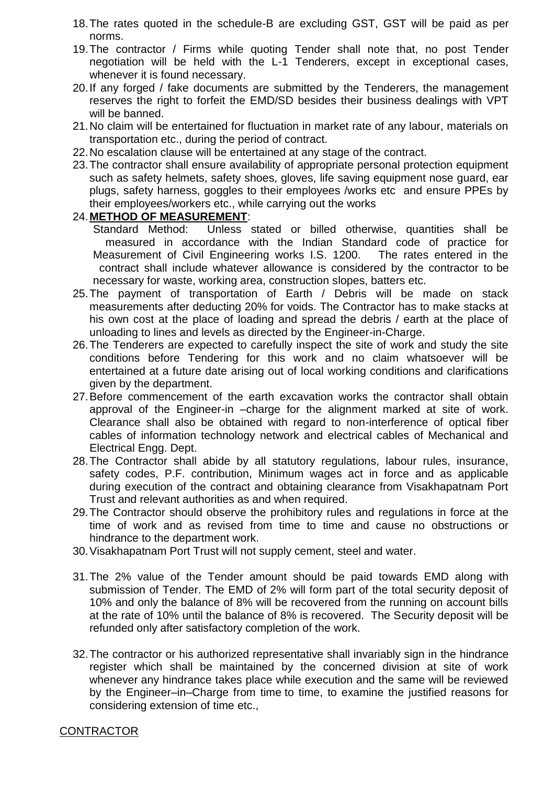- 18.The rates quoted in the schedule-B are excluding GST, GST will be paid as per norms.
- 19.The contractor / Firms while quoting Tender shall note that, no post Tender negotiation will be held with the L-1 Tenderers, except in exceptional cases, whenever it is found necessary.
- 20.If any forged / fake documents are submitted by the Tenderers, the management reserves the right to forfeit the EMD/SD besides their business dealings with VPT will be banned.
- 21.No claim will be entertained for fluctuation in market rate of any labour, materials on transportation etc., during the period of contract.
- 22.No escalation clause will be entertained at any stage of the contract.
- 23.The contractor shall ensure availability of appropriate personal protection equipment such as safety helmets, safety shoes, gloves, life saving equipment nose guard, ear plugs, safety harness, goggles to their employees /works etc and ensure PPEs by their employees/workers etc., while carrying out the works

## 24.**METHOD OF MEASUREMENT**:

- Standard Method: Unless stated or billed otherwise, quantities shall be measured in accordance with the Indian Standard code of practice for Measurement of Civil Engineering works I.S. 1200. The rates entered in the contract shall include whatever allowance is considered by the contractor to be necessary for waste, working area, construction slopes, batters etc.
- 25.The payment of transportation of Earth / Debris will be made on stack measurements after deducting 20% for voids. The Contractor has to make stacks at his own cost at the place of loading and spread the debris / earth at the place of unloading to lines and levels as directed by the Engineer-in-Charge.
- 26.The Tenderers are expected to carefully inspect the site of work and study the site conditions before Tendering for this work and no claim whatsoever will be entertained at a future date arising out of local working conditions and clarifications given by the department.
- 27.Before commencement of the earth excavation works the contractor shall obtain approval of the Engineer-in –charge for the alignment marked at site of work. Clearance shall also be obtained with regard to non-interference of optical fiber cables of information technology network and electrical cables of Mechanical and Electrical Engg. Dept.
- 28.The Contractor shall abide by all statutory regulations, labour rules, insurance, safety codes, P.F. contribution, Minimum wages act in force and as applicable during execution of the contract and obtaining clearance from Visakhapatnam Port Trust and relevant authorities as and when required.
- 29.The Contractor should observe the prohibitory rules and regulations in force at the time of work and as revised from time to time and cause no obstructions or hindrance to the department work.
- 30.Visakhapatnam Port Trust will not supply cement, steel and water.
- 31.The 2% value of the Tender amount should be paid towards EMD along with submission of Tender. The EMD of 2% will form part of the total security deposit of 10% and only the balance of 8% will be recovered from the running on account bills at the rate of 10% until the balance of 8% is recovered. The Security deposit will be refunded only after satisfactory completion of the work.
- 32.The contractor or his authorized representative shall invariably sign in the hindrance register which shall be maintained by the concerned division at site of work whenever any hindrance takes place while execution and the same will be reviewed by the Engineer–in–Charge from time to time, to examine the justified reasons for considering extension of time etc.,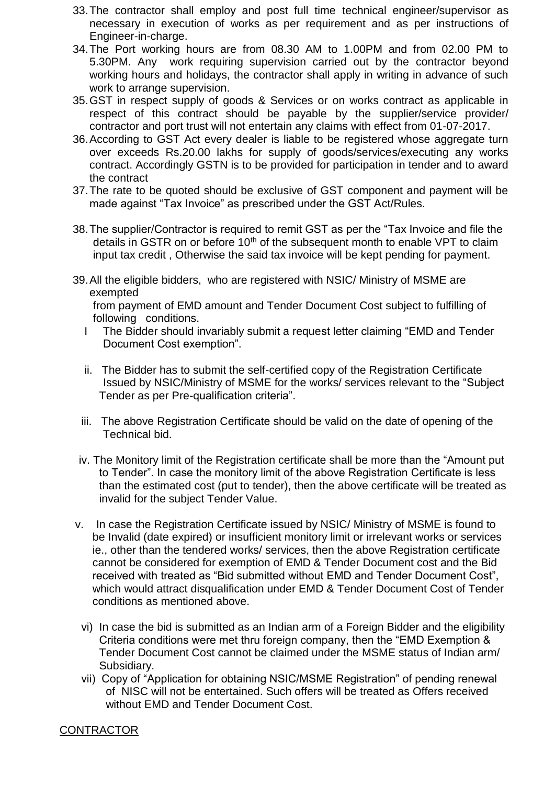- 33.The contractor shall employ and post full time technical engineer/supervisor as necessary in execution of works as per requirement and as per instructions of Engineer-in-charge.
- 34.The Port working hours are from 08.30 AM to 1.00PM and from 02.00 PM to 5.30PM. Any work requiring supervision carried out by the contractor beyond working hours and holidays, the contractor shall apply in writing in advance of such work to arrange supervision.
- 35.GST in respect supply of goods & Services or on works contract as applicable in respect of this contract should be payable by the supplier/service provider/ contractor and port trust will not entertain any claims with effect from 01-07-2017.
- 36.According to GST Act every dealer is liable to be registered whose aggregate turn over exceeds Rs.20.00 lakhs for supply of goods/services/executing any works contract. Accordingly GSTN is to be provided for participation in tender and to award the contract
- 37.The rate to be quoted should be exclusive of GST component and payment will be made against "Tax Invoice" as prescribed under the GST Act/Rules.
- 38.The supplier/Contractor is required to remit GST as per the "Tax Invoice and file the details in GSTR on or before  $10<sup>th</sup>$  of the subsequent month to enable VPT to claim input tax credit , Otherwise the said tax invoice will be kept pending for payment.
- 39.All the eligible bidders, who are registered with NSIC/ Ministry of MSME are exempted

from payment of EMD amount and Tender Document Cost subject to fulfilling of following conditions.

- I The Bidder should invariably submit a request letter claiming "EMD and Tender Document Cost exemption".
- ii. The Bidder has to submit the self-certified copy of the Registration Certificate Issued by NSIC/Ministry of MSME for the works/ services relevant to the "Subject Tender as per Pre-qualification criteria".
- iii. The above Registration Certificate should be valid on the date of opening of the Technical bid.
- iv. The Monitory limit of the Registration certificate shall be more than the "Amount put to Tender". In case the monitory limit of the above Registration Certificate is less than the estimated cost (put to tender), then the above certificate will be treated as invalid for the subject Tender Value.
- v. In case the Registration Certificate issued by NSIC/ Ministry of MSME is found to be Invalid (date expired) or insufficient monitory limit or irrelevant works or services ie., other than the tendered works/ services, then the above Registration certificate cannot be considered for exemption of EMD & Tender Document cost and the Bid received with treated as "Bid submitted without EMD and Tender Document Cost", which would attract disqualification under EMD & Tender Document Cost of Tender conditions as mentioned above.
	- vi) In case the bid is submitted as an Indian arm of a Foreign Bidder and the eligibility Criteria conditions were met thru foreign company, then the "EMD Exemption & Tender Document Cost cannot be claimed under the MSME status of Indian arm/ Subsidiary.
	- vii) Copy of "Application for obtaining NSIC/MSME Registration" of pending renewal of NISC will not be entertained. Such offers will be treated as Offers received without EMD and Tender Document Cost.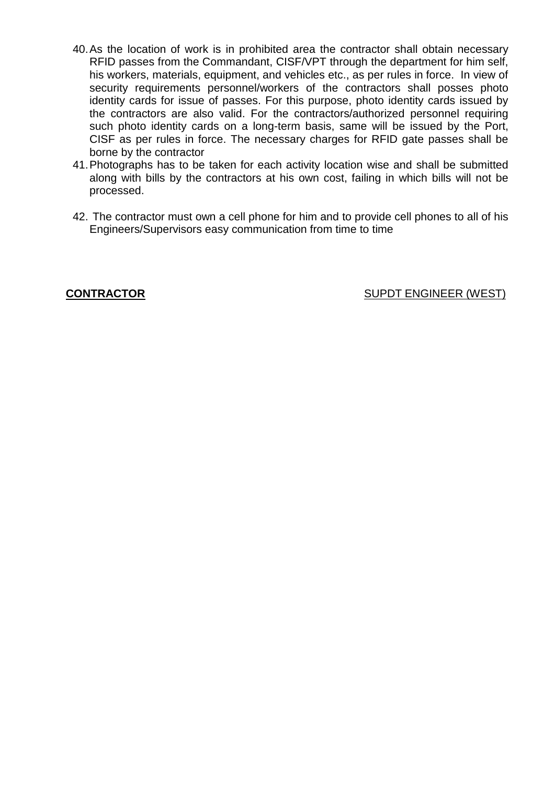- 40.As the location of work is in prohibited area the contractor shall obtain necessary RFID passes from the Commandant, CISF/VPT through the department for him self, his workers, materials, equipment, and vehicles etc., as per rules in force. In view of security requirements personnel/workers of the contractors shall posses photo identity cards for issue of passes. For this purpose, photo identity cards issued by the contractors are also valid. For the contractors/authorized personnel requiring such photo identity cards on a long-term basis, same will be issued by the Port, CISF as per rules in force. The necessary charges for RFID gate passes shall be borne by the contractor
- 41.Photographs has to be taken for each activity location wise and shall be submitted along with bills by the contractors at his own cost, failing in which bills will not be processed.
- 42. The contractor must own a cell phone for him and to provide cell phones to all of his Engineers/Supervisors easy communication from time to time

**CONTRACTOR CONTRACTOR SUPDT ENGINEER** (WEST)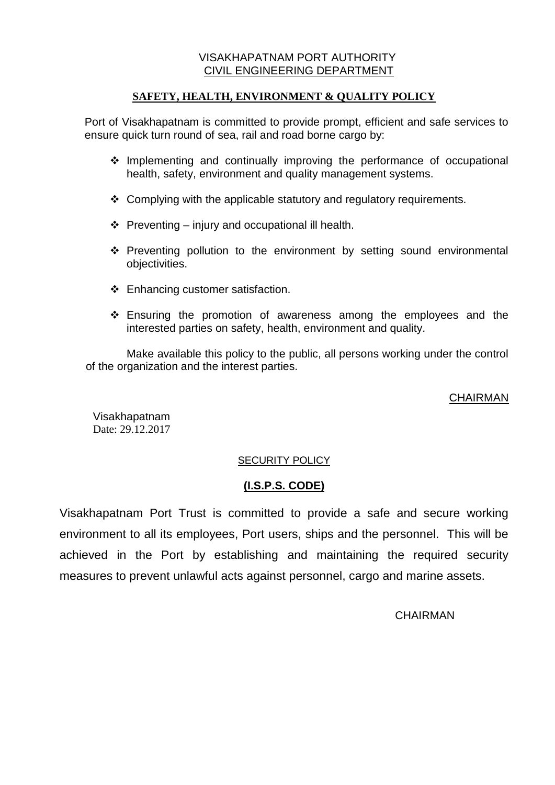### **SAFETY, HEALTH, ENVIRONMENT & QUALITY POLICY**

Port of Visakhapatnam is committed to provide prompt, efficient and safe services to ensure quick turn round of sea, rail and road borne cargo by:

- $\cdot$  Implementing and continually improving the performance of occupational health, safety, environment and quality management systems.
- $\div$  Complying with the applicable statutory and regulatory requirements.
- $\div$  Preventing injury and occupational ill health.
- Preventing pollution to the environment by setting sound environmental objectivities.
- $\div$  Enhancing customer satisfaction.
- Ensuring the promotion of awareness among the employees and the interested parties on safety, health, environment and quality.

Make available this policy to the public, all persons working under the control of the organization and the interest parties.

### CHAIRMAN

Visakhapatnam Date: 29.12.2017

## SECURITY POLICY

# **(I.S.P.S. CODE)**

Visakhapatnam Port Trust is committed to provide a safe and secure working environment to all its employees, Port users, ships and the personnel. This will be achieved in the Port by establishing and maintaining the required security measures to prevent unlawful acts against personnel, cargo and marine assets.

### **CHAIRMAN**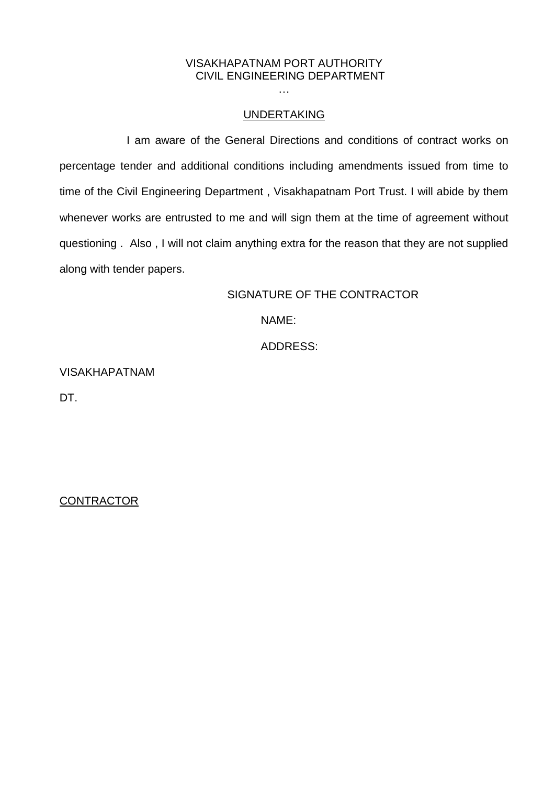#### UNDERTAKING

I am aware of the General Directions and conditions of contract works on percentage tender and additional conditions including amendments issued from time to time of the Civil Engineering Department , Visakhapatnam Port Trust. I will abide by them whenever works are entrusted to me and will sign them at the time of agreement without questioning . Also , I will not claim anything extra for the reason that they are not supplied along with tender papers.

## SIGNATURE OF THE CONTRACTOR

NAME:

ADDRESS:

VISAKHAPATNAM

DT.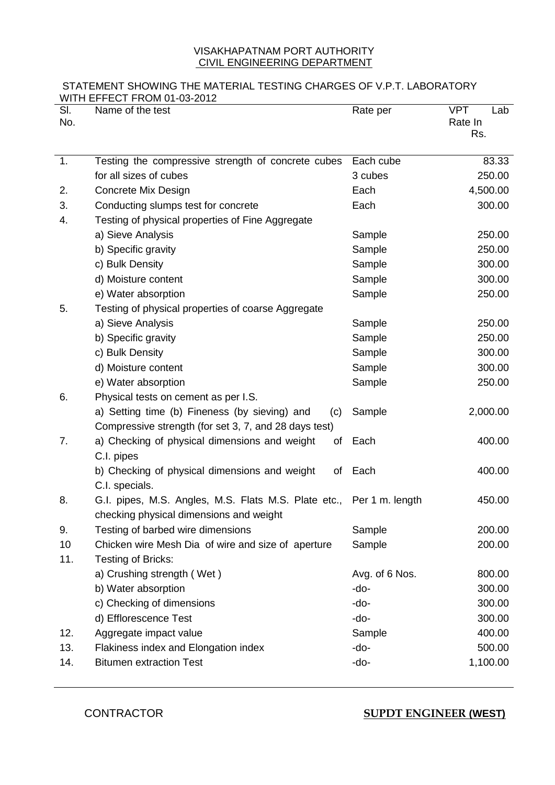#### STATEMENT SHOWING THE MATERIAL TESTING CHARGES OF V.P.T. LABORATORY WITH EFFECT FROM 01-03-2012

| SI.<br>No. | <u>WITH EFFEUT FRUM UT-03-Z0TZ</u><br>Name of the test                                                          | Rate per       | <b>VPT</b><br>Lab<br>Rate In<br>Rs. |
|------------|-----------------------------------------------------------------------------------------------------------------|----------------|-------------------------------------|
| 1.         | Testing the compressive strength of concrete cubes                                                              | Each cube      | 83.33                               |
|            | for all sizes of cubes                                                                                          | 3 cubes        | 250.00                              |
| 2.         | Concrete Mix Design                                                                                             | Each           | 4,500.00                            |
| 3.         | Conducting slumps test for concrete                                                                             | Each           | 300.00                              |
| 4.         | Testing of physical properties of Fine Aggregate                                                                |                |                                     |
|            | a) Sieve Analysis                                                                                               | Sample         | 250.00                              |
|            | b) Specific gravity                                                                                             | Sample         | 250.00                              |
|            | c) Bulk Density                                                                                                 | Sample         | 300.00                              |
|            | d) Moisture content                                                                                             | Sample         | 300.00                              |
|            | e) Water absorption                                                                                             | Sample         | 250.00                              |
| 5.         | Testing of physical properties of coarse Aggregate                                                              |                |                                     |
|            | a) Sieve Analysis                                                                                               | Sample         | 250.00                              |
|            | b) Specific gravity                                                                                             | Sample         | 250.00                              |
|            | c) Bulk Density                                                                                                 | Sample         | 300.00                              |
|            | d) Moisture content                                                                                             | Sample         | 300.00                              |
|            | e) Water absorption                                                                                             | Sample         | 250.00                              |
| 6.         | Physical tests on cement as per I.S.                                                                            |                |                                     |
|            | a) Setting time (b) Fineness (by sieving) and<br>(c)                                                            | Sample         | 2,000.00                            |
|            | Compressive strength (for set 3, 7, and 28 days test)                                                           |                |                                     |
| 7.         | a) Checking of physical dimensions and weight<br>of<br>C.I. pipes                                               | Each           | 400.00                              |
|            | b) Checking of physical dimensions and weight<br>of<br>C.I. specials.                                           | Each           | 400.00                              |
| 8.         | G.I. pipes, M.S. Angles, M.S. Flats M.S. Plate etc., Per 1 m. length<br>checking physical dimensions and weight |                | 450.00                              |
| 9.         | Testing of barbed wire dimensions                                                                               | Sample         | 200.00                              |
| 10         | Chicken wire Mesh Dia of wire and size of aperture                                                              | Sample         | 200.00                              |
| 11.        | Testing of Bricks:                                                                                              |                |                                     |
|            | a) Crushing strength (Wet)                                                                                      | Avg. of 6 Nos. | 800.00                              |
|            | b) Water absorption                                                                                             | -do-           | 300.00                              |
|            | c) Checking of dimensions                                                                                       | -do-           | 300.00                              |
|            | d) Efflorescence Test                                                                                           | -do-           | 300.00                              |
| 12.        | Aggregate impact value                                                                                          | Sample         | 400.00                              |
| 13.        | Flakiness index and Elongation index                                                                            | -do-           | 500.00                              |
| 14.        | <b>Bitumen extraction Test</b>                                                                                  | -do-           | 1,100.00                            |

CONTRACTOR **SUPDT ENGINEER (WEST)**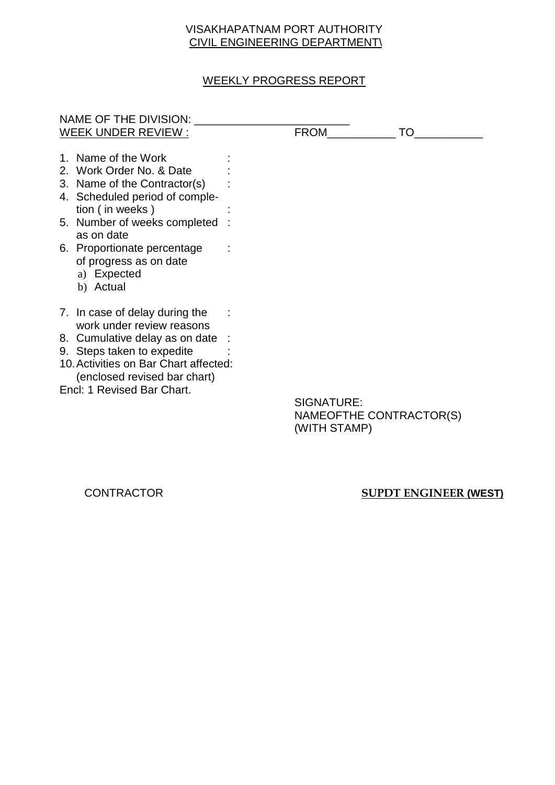# WEEKLY PROGRESS REPORT

| NAME OF THE DIVISION:                 |             |    |
|---------------------------------------|-------------|----|
| WEEK UNDER REVIEW :                   | <b>FROM</b> | TO |
|                                       |             |    |
| 1. Name of the Work                   |             |    |
| 2. Work Order No. & Date              |             |    |
| 3. Name of the Contractor(s)          |             |    |
| 4. Scheduled period of comple-        |             |    |
| tion (in weeks)                       |             |    |
| 5. Number of weeks completed          |             |    |
| as on date                            |             |    |
| 6. Proportionate percentage           |             |    |
| of progress as on date                |             |    |
|                                       |             |    |
| a) Expected                           |             |    |
| b) Actual                             |             |    |
|                                       |             |    |
| 7. In case of delay during the        |             |    |
| work under review reasons             |             |    |
| 8. Cumulative delay as on date        |             |    |
| 9. Steps taken to expedite            |             |    |
| 10. Activities on Bar Chart affected: |             |    |
| (enclosed revised bar chart)          |             |    |
| Encl: 1 Revised Bar Chart.            |             |    |
|                                       | SIGNATURE:  |    |
|                                       |             |    |

NAMEOFTHE CONTRACTOR(S) (WITH STAMP)

#### CONTRACTOR **SUPDT ENGINEER (WEST)**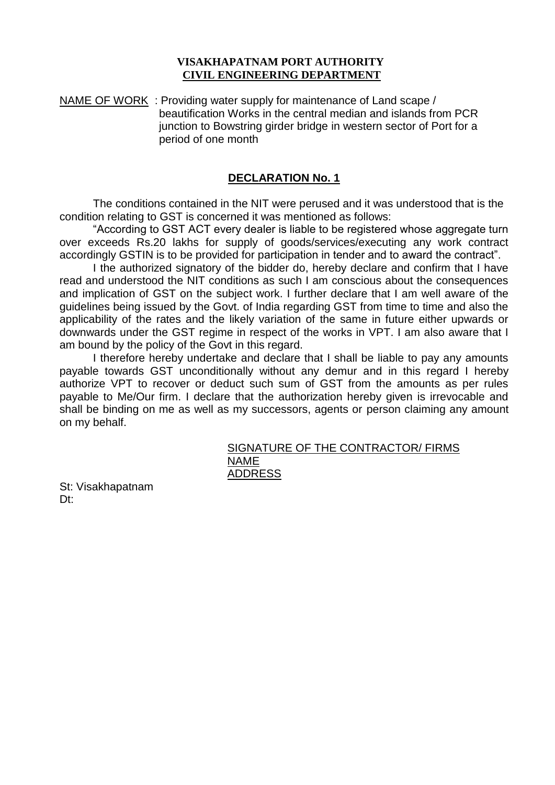NAME OF WORK : Providing water supply for maintenance of Land scape / beautification Works in the central median and islands from PCR junction to Bowstring girder bridge in western sector of Port for a period of one month

#### **DECLARATION No. 1**

The conditions contained in the NIT were perused and it was understood that is the condition relating to GST is concerned it was mentioned as follows:

"According to GST ACT every dealer is liable to be registered whose aggregate turn over exceeds Rs.20 lakhs for supply of goods/services/executing any work contract accordingly GSTIN is to be provided for participation in tender and to award the contract".

I the authorized signatory of the bidder do, hereby declare and confirm that I have read and understood the NIT conditions as such I am conscious about the consequences and implication of GST on the subject work. I further declare that I am well aware of the guidelines being issued by the Govt. of India regarding GST from time to time and also the applicability of the rates and the likely variation of the same in future either upwards or downwards under the GST regime in respect of the works in VPT. I am also aware that I am bound by the policy of the Govt in this regard.

I therefore hereby undertake and declare that I shall be liable to pay any amounts payable towards GST unconditionally without any demur and in this regard I hereby authorize VPT to recover or deduct such sum of GST from the amounts as per rules payable to Me/Our firm. I declare that the authorization hereby given is irrevocable and shall be binding on me as well as my successors, agents or person claiming any amount on my behalf.

#### SIGNATURE OF THE CONTRACTOR/ FIRMS NAME ADDRESS

St: Visakhapatnam Dt: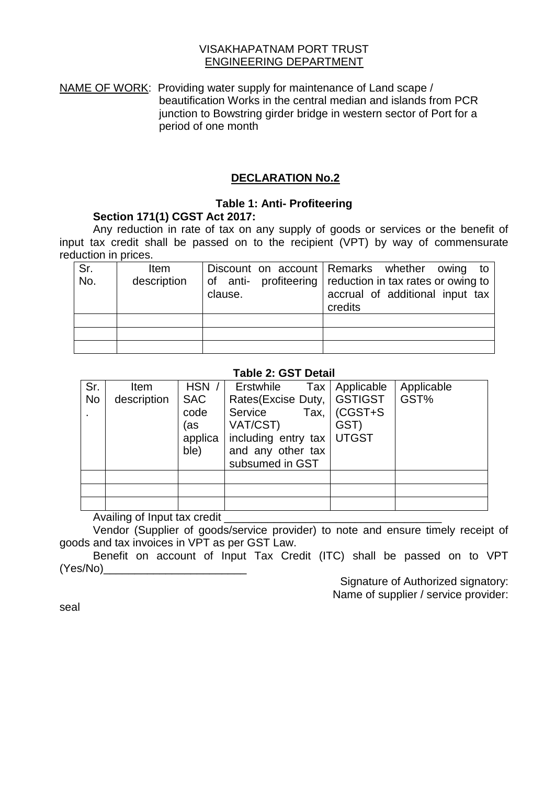#### VISAKHAPATNAM PORT TRUST ENGINEERING DEPARTMENT

NAME OF WORK: Providing water supply for maintenance of Land scape / beautification Works in the central median and islands from PCR junction to Bowstring girder bridge in western sector of Port for a period of one month

## **DECLARATION No.2**

### **Table 1: Anti- Profiteering**

### **Section 171(1) CGST Act 2017:**

Any reduction in rate of tax on any supply of goods or services or the benefit of input tax credit shall be passed on to the recipient (VPT) by way of commensurate reduction in prices.

| Sr.<br>No. | Item<br>description | clause. | Discount on account Remarks whether owing<br>to<br>of anti- profiteering reduction in tax rates or owing to<br>accrual of additional input tax<br>credits |
|------------|---------------------|---------|-----------------------------------------------------------------------------------------------------------------------------------------------------------|
|            |                     |         |                                                                                                                                                           |
|            |                     |         |                                                                                                                                                           |
|            |                     |         |                                                                                                                                                           |

### **Table 2: GST Detail**

| Sr.       | Item        | HSN /      | Erstwhile           | Tax   Applicable | Applicable |
|-----------|-------------|------------|---------------------|------------------|------------|
| <b>No</b> | description | <b>SAC</b> | Rates(Excise Duty,  | GSTIGST          | GST%       |
|           |             | code       | Service<br>Tax,     | $(CGST+S)$       |            |
|           |             | (as        | VAT/CST)            | GST)             |            |
|           |             | applica    | including entry tax | <b>UTGST</b>     |            |
|           |             | ble)       | and any other tax   |                  |            |
|           |             |            | subsumed in GST     |                  |            |
|           |             |            |                     |                  |            |
|           |             |            |                     |                  |            |
|           |             |            |                     |                  |            |

Availing of Input tax credit

Vendor (Supplier of goods/service provider) to note and ensure timely receipt of goods and tax invoices in VPT as per GST Law.

Benefit on account of Input Tax Credit (ITC) shall be passed on to VPT (Yes/No)\_\_\_\_\_\_\_\_\_\_\_\_\_\_\_\_\_\_\_\_\_\_\_

> Signature of Authorized signatory: Name of supplier / service provider:

seal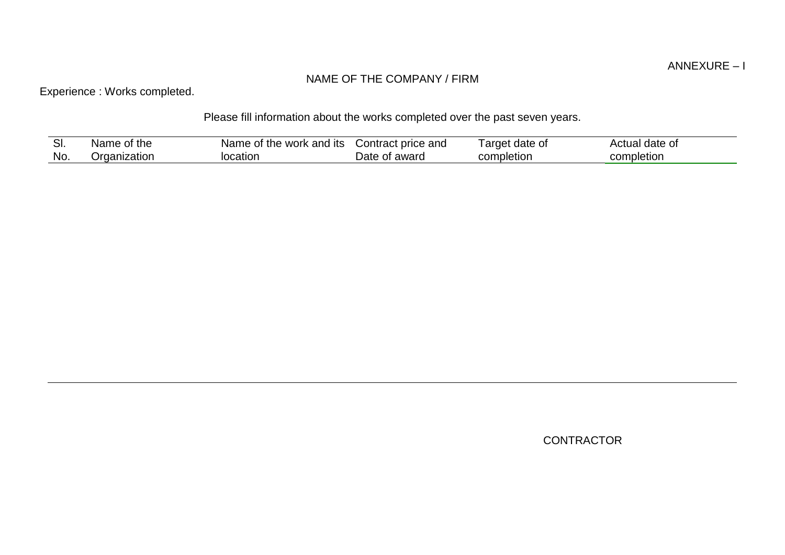## NAME OF THE COMPANY / FIRM

Experience : Works completed.

# Please fill information about the works completed over the past seven years.

| .וט | of the<br>Name | Name<br>the work and its t<br>0t | Contract price and   | arget<br>date of | $AC^+$<br>date<br>$\sim$ $\sim$<br>$\sim$<br>માત.<br>ി∪ |
|-----|----------------|----------------------------------|----------------------|------------------|---------------------------------------------------------|
| No. | ⊃rganization   | location                         | Jate<br>awarc<br>OT. | completion       | completion                                              |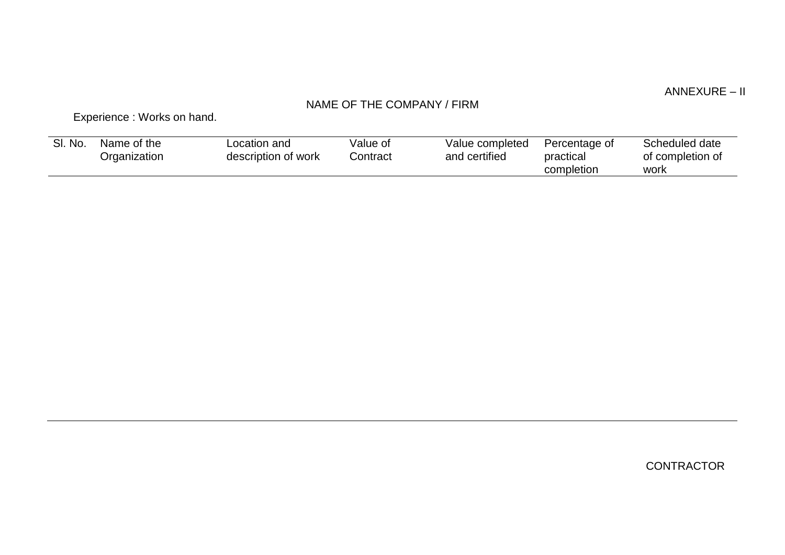## ANNEXURE – II

# NAME OF THE COMPANY / FIRM

Experience : Works on hand.

| SI. No. | Name of the<br>Organization | Location and<br>description of work | Value of<br>Contract | Value completed<br>and certified | Percentage of<br>practical<br>completion | Scheduled date<br>of completion of<br>work |
|---------|-----------------------------|-------------------------------------|----------------------|----------------------------------|------------------------------------------|--------------------------------------------|
|         |                             |                                     |                      |                                  |                                          |                                            |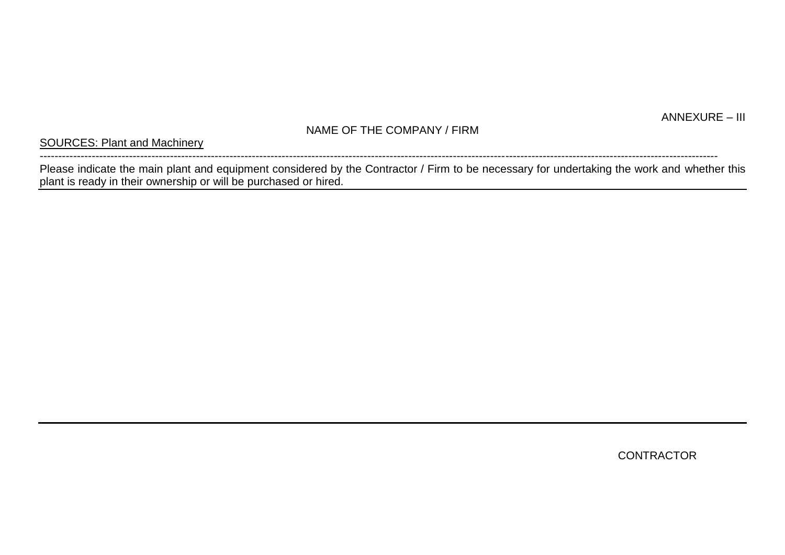# NAME OF THE COMPANY / FIRM

SOURCES: Plant and Machinery

-------------------------------------------------------------------------------------------------------------------------------------------------------------------------------------- Please indicate the main plant and equipment considered by the Contractor / Firm to be necessary for undertaking the work and whether this plant is ready in their ownership or will be purchased or hired.